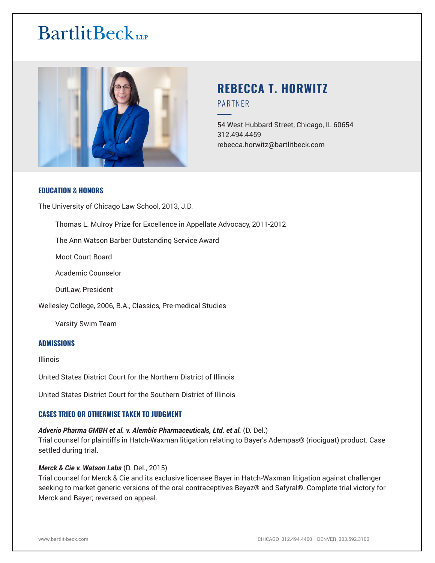# **BartlitBeck**



# **REBECCA T. HORWITZ** PARTNER

54 West Hubbard Street, Chicago, IL 60654 312.494.4459 rebecca.horwitz@bartlitbeck.com

# **EDUCATION & HONORS**

The University of Chicago Law School, 2013, J.D.

Thomas L. Mulroy Prize for Excellence in Appellate Advocacy, 2011-2012

The Ann Watson Barber Outstanding Service Award

Moot Court Board

Academic Counselor

OutLaw, President

Wellesley College, 2006, B.A., Classics, Pre-medical Studies

Varsity Swim Team

#### **ADMISSIONS**

Illinois

United States District Court for the Northern District of Illinois

United States District Court for the Southern District of Illinois

# **CASES TRIED OR OTHERWISE TAKEN TO JUDGMENT**

#### *Adverio Pharma GMBH et al. v. Alembic Pharmaceuticals, Ltd. et al.* (D. Del.)

Trial counsel for plaintiffs in Hatch-Waxman litigation relating to Bayer's Adempas® (riociguat) product. Case settled during trial.

#### *Merck & Cie v. Watson Labs* (D. Del., 2015)

Trial counsel for Merck & Cie and its exclusive licensee Bayer in Hatch-Waxman litigation against challenger seeking to market generic versions of the oral contraceptives Beyaz® and Safyral®. Complete trial victory for Merck and Bayer; reversed on appeal.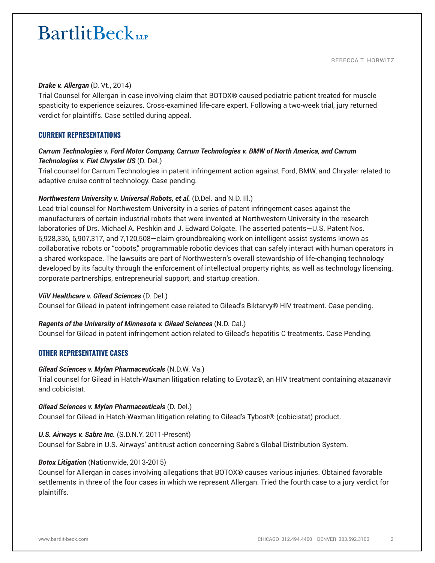# **BartlitBeck**

#### *Drake v. Allergan* (D. Vt., 2014)

Trial Counsel for Allergan in case involving claim that BOTOX® caused pediatric patient treated for muscle spasticity to experience seizures. Cross-examined life-care expert. Following a two-week trial, jury returned verdict for plaintiffs. Case settled during appeal.

# **CURRENT REPRESENTATIONS**

# *Carrum Technologies v. Ford Motor Company, Carrum Technologies v. BMW of North America, and Carrum Technologies v. Fiat Chrysler US* (D. Del.)

Trial counsel for Carrum Technologies in patent infringement action against Ford, BMW, and Chrysler related to adaptive cruise control technology. Case pending.

# *Northwestern University v. Universal Robots, et al. (D.Del. and N.D. III.)*

Lead trial counsel for Northwestern University in a series of patent infringement cases against the manufacturers of certain industrial robots that were invented at Northwestern University in the research laboratories of Drs. Michael A. Peshkin and J. Edward Colgate. The asserted patents—U.S. Patent Nos. 6,928,336, 6,907,317, and 7,120,508—claim groundbreaking work on intelligent assist systems known as collaborative robots or "cobots," programmable robotic devices that can safely interact with human operators in a shared workspace. The lawsuits are part of Northwestern's overall stewardship of life-changing technology developed by its faculty through the enforcement of intellectual property rights, as well as technology licensing, corporate partnerships, entrepreneurial support, and startup creation.

#### *ViiV Healthcare v. Gilead Sciences* (D. Del.)

Counsel for Gilead in patent infringement case related to Gilead's Biktarvy® HIV treatment. Case pending.

#### *Regents of the University of Minnesota v. Gilead Sciences* (N.D. Cal.)

Counsel for Gilead in patent infringement action related to Gilead's hepatitis C treatments. Case Pending.

# **OTHER REPRESENTATIVE CASES**

#### *Gilead Sciences v. Mylan Pharmaceuticals* (N.D.W. Va.)

Trial counsel for Gilead in Hatch-Waxman litigation relating to Evotaz®, an HIV treatment containing atazanavir and cobicistat.

#### *Gilead Sciences v. Mylan Pharmaceuticals* (D. Del.)

Counsel for Gilead in Hatch-Waxman litigation relating to Gilead's Tybost® (cobicistat) product.

# *U.S. Airways v. Sabre Inc.* (S.D.N.Y. 2011-Present)

Counsel for Sabre in U.S. Airways' antitrust action concerning Sabre's Global Distribution System.

#### *Botox Litigation* (Nationwide, 2013-2015)

Counsel for Allergan in cases involving allegations that BOTOX® causes various injuries. Obtained favorable settlements in three of the four cases in which we represent Allergan. Tried the fourth case to a jury verdict for plaintiffs.